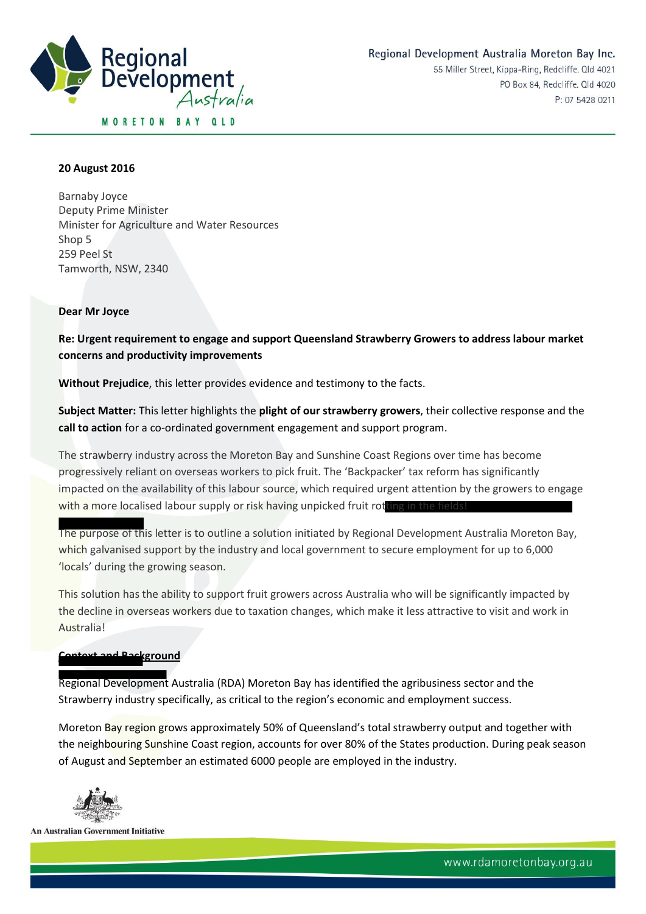

#### **20 August 2016**

Barnaby Joyce Deputy Prime Minister Minister for Agriculture and Water Resources Shop 5 259 Peel St Tamworth, NSW, 2340

#### **Dear Mr Joyce**

**Re: Urgent requirement to engage and support Queensland Strawberry Growers to address labour market concerns and productivity improvements**

**Without Prejudice**, this letter provides evidence and testimony to the facts.

**Subject Matter:** This letter highlights the **plight of our strawberry growers**, their collective response and the **call to action** for a co-ordinated government engagement and support program.

The strawberry industry across the Moreton Bay and Sunshine Coast Regions over time has become progressively reliant on overseas workers to pick fruit. The 'Backpacker' tax reform has significantly impacted on the availability of this labour source, which required urgent attention by the growers to engage with a more localised labour supply or risk having unpicked fruit rotting in the

The purpose of this letter is to outline a solution initiated by Regional Development Australia Moreton Bay, which galvanised support by the industry and local government to secure employment for up to 6,000 'locals' during the growing season.

This solution has the ability to support fruit growers across Australia who will be significantly impacted by the decline in overseas workers due to taxation changes, which make it less attractive to visit and work in Australia!

## **Context and Background**

Regional Development Australia (RDA) Moreton Bay has identified the agribusiness sector and the Strawberry industry specifically, as critical to the region's economic and employment success.

Moreton Bay region grows approximately 50% of Queensland's total strawberry output and together with the neighbouring Sunshine Coast region, accounts for over 80% of the States production. During peak season of August and September an estimated 6000 people are employed in the industry.

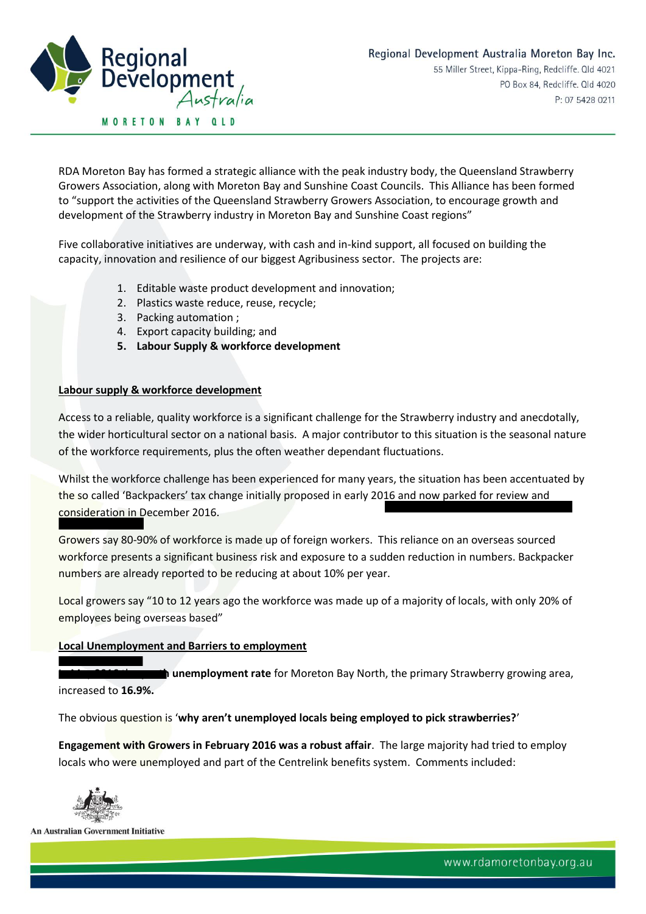

RDA Moreton Bay has formed a strategic alliance with the peak industry body, the Queensland Strawberry Growers Association, along with Moreton Bay and Sunshine Coast Councils. This Alliance has been formed to "support the activities of the Queensland Strawberry Growers Association, to encourage growth and development of the Strawberry industry in Moreton Bay and Sunshine Coast regions"

Five collaborative initiatives are underway, with cash and in-kind support, all focused on building the capacity, innovation and resilience of our biggest Agribusiness sector. The projects are:

- 1. Editable waste product development and innovation;
- 2. Plastics waste reduce, reuse, recycle;
- 3. Packing automation ;
- 4. Export capacity building; and
- **5. Labour Supply & workforce development**

#### **Labour supply & workforce development**

Access to a reliable, quality workforce is a significant challenge for the Strawberry industry and anecdotally, the wider horticultural sector on a national basis. A major contributor to this situation is the seasonal nature of the workforce requirements, plus the often weather dependant fluctuations.

Whilst the workforce challenge has been experienced for many years, the situation has been accentuated by the so called 'Backpackers' tax change initially proposed in early 2016 and now parked for review and consideration in December 2016.

Growers say 80-90% of workforce is made up of foreign workers. This reliance on an overseas sourced workforce presents a significant business risk and exposure to a sudden reduction in numbers. Backpacker numbers are already reported to be reducing at about 10% per year.

Local growers say "10 to 12 years ago the workforce was made up of a majority of locals, with only 20% of employees being overseas based"

# **Local Unemployment and Barriers to employment**

**In unemployment rate** for Moreton Bay North, the primary Strawberry growing area, increased to **16.9%.**

The obvious question is '**why aren't unemployed locals being employed to pick strawberries?**'

**Engagement with Growers in February 2016 was a robust affair**. The large majority had tried to employ locals who were unemployed and part of the Centrelink benefits system. Comments included:

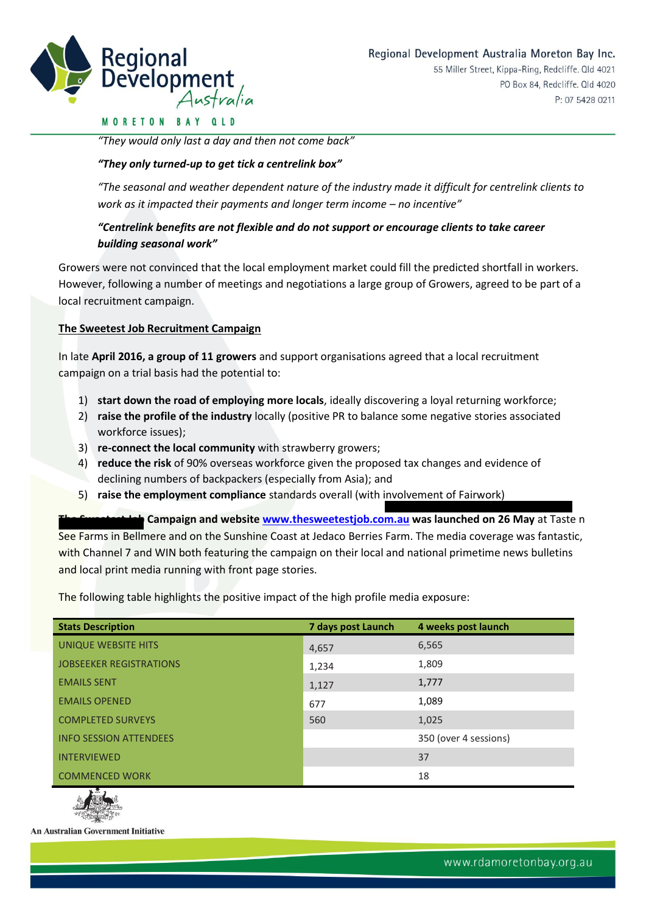

#### **MORETON BAY QLD**

*"They would only last a day and then not come back"*

## *"They only turned-up to get tick a centrelink box"*

*"The seasonal and weather dependent nature of the industry made it difficult for centrelink clients to work as it impacted their payments and longer term income – no incentive"* 

# *"Centrelink benefits are not flexible and do not support or encourage clients to take career building seasonal work"*

Growers were not convinced that the local employment market could fill the predicted shortfall in workers. However, following a number of meetings and negotiations a large group of Growers, agreed to be part of a local recruitment campaign.

## **The Sweetest Job Recruitment Campaign**

In late **April 2016, a group of 11 growers** and support organisations agreed that a local recruitment campaign on a trial basis had the potential to:

- 1) **start down the road of employing more locals**, ideally discovering a loyal returning workforce;
- 2) **raise the profile of the industry** locally (positive PR to balance some negative stories associated workforce issues);
- 3) **re-connect the local community** with strawberry growers;
- 4) **reduce the risk** of 90% overseas workforce given the proposed tax changes and evidence of declining numbers of backpackers (especially from Asia); and
- 5) **raise the employment compliance** standards overall (with involvement of Fairwork)

**The Sweetest Sweetest Gampaign Sweetest Job Com.au was launched on 26 May** at Taste n See Farms in Bellmere and on the Sunshine Coast at Jedaco Berries Farm. The media coverage was fantastic, with Channel 7 and WIN both featuring the campaign on their local and national primetime news bulletins and local print media running with front page stories.

The following table highlights the positive impact of the high profile media exposure:

| <b>Stats Description</b>       | 7 days post Launch | 4 weeks post launch   |
|--------------------------------|--------------------|-----------------------|
| UNIQUE WEBSITE HITS            | 4,657              | 6,565                 |
| <b>JOBSEEKER REGISTRATIONS</b> | 1,234              | 1,809                 |
| <b>EMAILS SENT</b>             | 1,127              | 1,777                 |
| <b>EMAILS OPENED</b>           | 677                | 1,089                 |
| <b>COMPLETED SURVEYS</b>       | 560                | 1,025                 |
| <b>INFO SESSION ATTENDEES</b>  |                    | 350 (over 4 sessions) |
| <b>INTERVIEWED</b>             |                    | 37                    |
| <b>COMMENCED WORK</b>          |                    | 18                    |